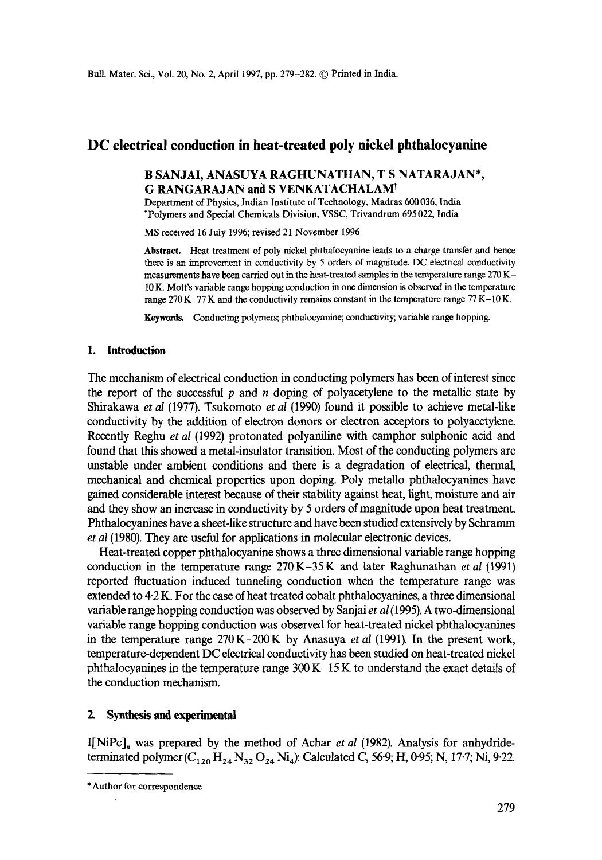# **DC electrical conduction in heat-treated poly nickel phthalocyanine**

## B SANJAI, ANASUYA RAGHUNATHAN, T S NATARAJAN\*, **G RANGARAJAN and S VENKATACHALAM<sup>†</sup>**

Department of Physics, Indian Institute of Technology, Madras 600 036, India \*Polymers and Special Chemicals Division, VSSC, Trivandrum 695 022, India

MS received 16 July 1996; revised 21 November 1996

**Abstract.** Heat treatment of poly nickel phthalocyanine leads to a charge transfer and hence there is an improvement in conductivity by 5 orders of magnitude. DC electrical conductivity measurements have been carried out in the heat-treated samples in the temperature range 270 K-10 K. Mott's variable range hopping conduction in one dimension is observed in the temperature range  $270K-77K$  and the conductivity remains constant in the temperature range  $77K-10K$ .

Keywords. Conducting polymers; phthalocyanine; conductivity; variable range hopping.

### **1. Introduction**

The mechanism of electrical conduction in conducting polymers has been of interest since the report of the successful  $p$  and  $n$  doping of polyacetylene to the metallic state by Shirakawa *et al* (1977). Tsukomoto *et al* (1990) found it possible to achieve metal-like conductivity by the addition of electron donors or electron acceptors to polyacetylene. Recently Reghu *et al* (1992) protonated polyaniline with camphor sulphonic acid and found that this showed a metal-insulator transition. Most of the conducting polymers are unstable under ambient conditions and there is a degradation of electrical, thermal, mechanical and chemical properties upon doping. Poly metalio phthalocyanines have gained considerable interest because of their stability against heat, light, moisture and air and they show an increase in conductivity by 5 orders of magnitude upon heat treatment. Phthalocyanines have a sheet-like structure and have been studied extensively by Schramm *et al* (1980). They are useful for applications in molecular electronic devices.

Heat-treated copper phthalocyanine shows a three dimensional variable range hopping conduction in the temperature range 270K-35 K and later Raghunathan *et al* (1991) reported fluctuation induced tunneling conduction when the temperature range was extended to  $4.2$  K. For the case of heat treated cobalt phthalocyanines, a three dimensional variable range hopping conduction was observed by Sanjai *et al* (1995). A two-dimensional variable range hopping conduction was observed for heat-treated nickel phthalocyanines in the temperature range 270 K-200 K by Anasuya *et al* (1991). In the present work, temperature-dependent DC electrical conductivity has been studied on heat-treated nickel phthalocyanines in the temperature range  $300 K-15 K$  to understand the exact details of the conduction mechanism.

#### **2. Synthesis and experimental**

I[NiPc]<sub>n</sub> was prepared by the method of Achar *et al* (1982). Analysis for anhydrideterminated polymer  $(C_{120} H_{24} N_{32} O_{24} N_{4})$ : Calculated C, 56.9; H, 0.95; N, 17.7; Ni, 9.22.

<sup>\*</sup> Author for correspondence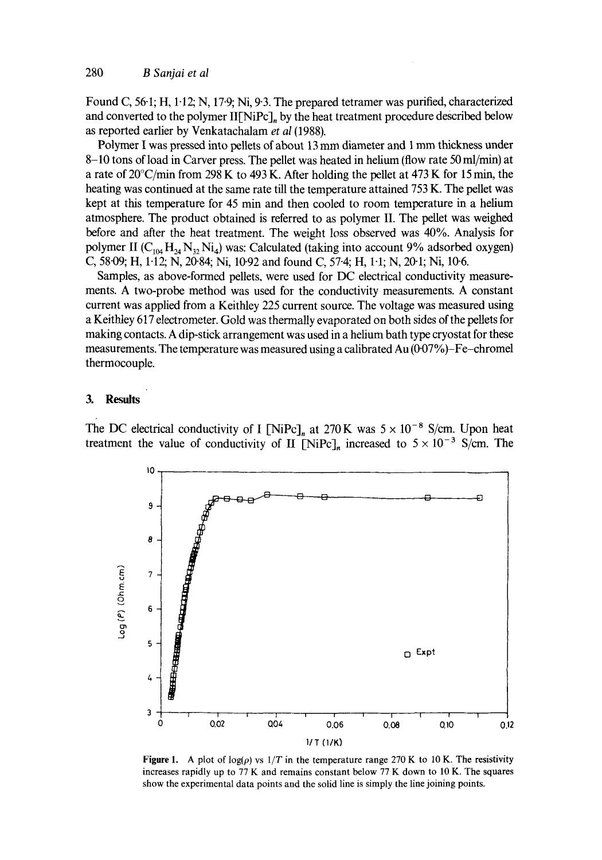Found C, 56.1; H, 1.12; N, 17.9; Ni, 9.3. The prepared tetramer was purified, characterized and converted to the polymer II[NiPc], by the heat treatment procedure described below as reported earlier by Venkatachalam *et al* (1988).

Polymer I was pressed into pellets of about 13 mm diameter and 1 mm thickness under 8-10 tons of load in Carver press. The pellet was heated in helium (flow rate 50 ml/min) at a rate of 20°C/min from 298 K to 493 K. After holding the pellet at 473 K for 15 min, the heating was continued at the same rate till the temperature attained 753 K. The pellet was kept at this temperature for 45 min and then cooled to room temperature in a helium atmosphere. The product obtained is referred to as polymer II. The pellet was weighed before and after the heat treatment. The weight loss observed was 40%. Analysis for polymer II ( $C_{104}$  H<sub>24</sub> N<sub>32</sub> Ni<sub>4</sub>) was: Calculated (taking into account 9% adsorbed oxygen) C, 58<sup>-</sup>09; H, 1<sup>-1</sup>2; N, 20<sup>-</sup>84; Ni, 10<sup>-92</sup> and found C, 57<sup>-4</sup>; H, 1<sup>-1</sup>; N, 20<sup>-1</sup>; Ni, 10<sup>-6</sup>.

Samples, as above-formed pellets, were used for DC electrical conductivity measurements. A two-probe method was used for the conductivity measurements. A constant current was applied from a Keithley 225 current source. The voltage was measured using a Keithtey 617 electrometer. Gold was thermally evaporated on both sides of the pellets for making contacts. A dip-stick arrangement was used in a helium bath type cryostat for these measurements. The temperature was measured using a calibrated Au  $(0.07\%)$ -Fe-chromel thermocouple.

#### **3. Results**

The DC electrical conductivity of I [NiPc]<sub>n</sub> at 270 K was  $5 \times 10^{-8}$  S/cm. Upon heat treatment the value of conductivity of II [NiPc]<sub>n</sub> increased to  $5 \times 10^{-3}$  S/cm. The



Figure 1. A plot of  $log(\rho)$  vs  $1/T$  in the temperature range 270 K to 10 K. The resistivity increases rapidly up to 77 K and remains constant below 77 K down to 10 K. The squares show the experimental data points and the solid line is simply the line joining points.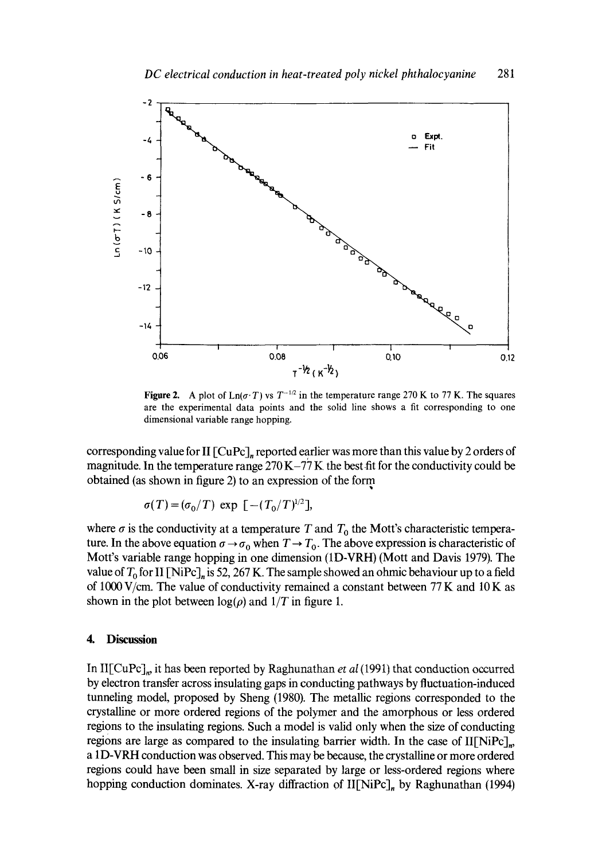

**Figure 2.** A plot of  $\text{Ln}(\sigma \cdot T)$  vs  $T^{-1/2}$  in the temperature range 270 K to 77 K. The squares are the experimental data points and the solid line shows a fit corresponding to one dimensional variable range hopping.

corresponding value for II  $\lbrack \text{CuPc} \rbrack_n$  reported earlier was more than this value by 2 orders of magnitude. In the temperature range  $270 K - 77 K$  the best fit for the conductivity could be obtained (as shown in figure 2) to an expression of the form

$$
\sigma(T) = (\sigma_0/T) \exp [-(T_0/T)^{1/2}],
$$

where  $\sigma$  is the conductivity at a temperature T and  $T_0$  the Mott's characteristic temperature. In the above equation  $\sigma \rightarrow \sigma_0$  when  $T \rightarrow T_0$ . The above expression is characteristic of Mott's variable range hopping in one dimension (1D-VRH) (Mort and Davis 1979). The value of  $T_0$  for II [NiPc], is 52, 267 K. The sample showed an ohmic behaviour up to a field of 1000 V/cm. The value of conductivity remained a constant between 77 K and 10 K as shown in the plot between  $log(\rho)$  and  $1/T$  in figure 1.

#### **4. Discussion**

In II[CuPc]~, it has been reported by Raghunathan et *aI* (1991) that conduction occurred by electron transfer across insulating gaps in conducting pathways by fluctuation-induced tunneling model, proposed by Sheng (1980). The metallic regions corresponded to the crystalline or more ordered regions of the polymer and the amorphous or less ordered regions to the insulating regions. Such a model is valid only when the size of conducting regions are large as compared to the insulating barrier width. In the case of  $II[NiPc]_n$ , a 1D-VRH conduction was observed. This may be because, the crystalline or more ordered regions could have been small in size separated by large or less-ordered regions where hopping conduction dominates. X-ray diffraction of  $II[NiPc]_n$  by Raghunathan (1994)